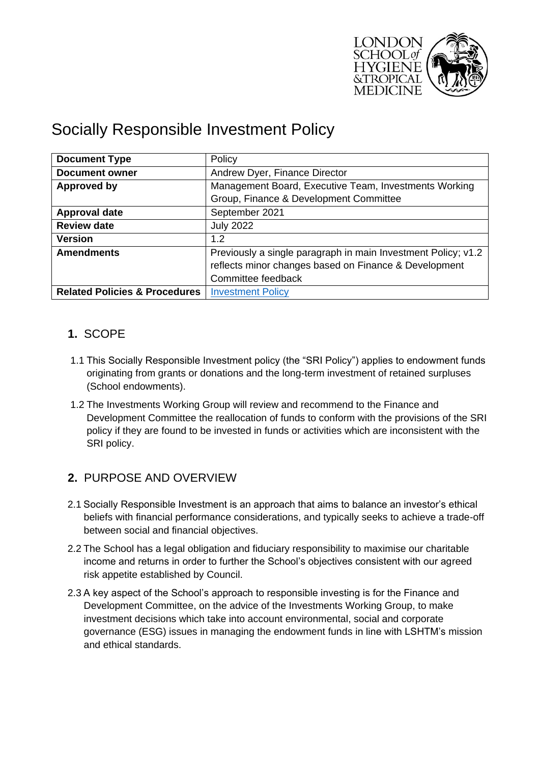

# Socially Responsible Investment Policy

| <b>Document Type</b>                     | Policy                                                        |  |
|------------------------------------------|---------------------------------------------------------------|--|
| <b>Document owner</b>                    | Andrew Dyer, Finance Director                                 |  |
| <b>Approved by</b>                       | Management Board, Executive Team, Investments Working         |  |
|                                          | Group, Finance & Development Committee                        |  |
| <b>Approval date</b>                     | September 2021                                                |  |
| <b>Review date</b>                       | <b>July 2022</b>                                              |  |
| <b>Version</b>                           | 1.2                                                           |  |
| <b>Amendments</b>                        | Previously a single paragraph in main Investment Policy; v1.2 |  |
|                                          | reflects minor changes based on Finance & Development         |  |
|                                          | Committee feedback                                            |  |
| <b>Related Policies &amp; Procedures</b> | <b>Investment Policy</b>                                      |  |

# **1.** SCOPE

- 1.1 This Socially Responsible Investment policy (the "SRI Policy") applies to endowment funds originating from grants or donations and the long-term investment of retained surpluses (School endowments).
- 1.2 The Investments Working Group will review and recommend to the Finance and Development Committee the reallocation of funds to conform with the provisions of the SRI policy if they are found to be invested in funds or activities which are inconsistent with the SRI policy.

## **2.** PURPOSE AND OVERVIEW

- 2.1 Socially Responsible Investment is an approach that aims to balance an investor's ethical beliefs with financial performance considerations, and typically seeks to achieve a trade-off between social and financial objectives.
- 2.2 The School has a legal obligation and fiduciary responsibility to maximise our charitable income and returns in order to further the School's objectives consistent with our agreed risk appetite established by Council.
- 2.3 A key aspect of the School's approach to responsible investing is for the Finance and Development Committee, on the advice of the Investments Working Group, to make investment decisions which take into account environmental, social and corporate governance (ESG) issues in managing the endowment funds in line with LSHTM's mission and ethical standards.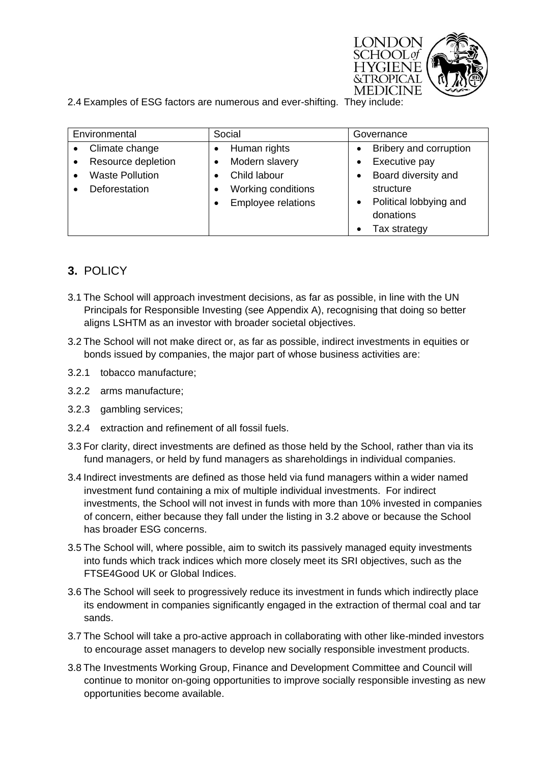

2.4 Examples of ESG factors are numerous and ever-shifting. They include:

| Environmental                   | Social                    | Governance                          |
|---------------------------------|---------------------------|-------------------------------------|
| Climate change<br>$\bullet$     | Human rights              | Bribery and corruption<br>$\bullet$ |
| Resource depletion<br>$\bullet$ | Modern slavery            | Executive pay                       |
| <b>Waste Pollution</b>          | Child labour              | Board diversity and<br>$\bullet$    |
| Deforestation                   | Working conditions        | structure                           |
|                                 | <b>Employee relations</b> | Political lobbying and<br>$\bullet$ |
|                                 |                           | donations                           |
|                                 |                           | Tax strategy                        |

# **3.** POLICY

- 3.1 The School will approach investment decisions, as far as possible, in line with the UN Principals for Responsible Investing (see Appendix A), recognising that doing so better aligns LSHTM as an investor with broader societal objectives.
- 3.2 The School will not make direct or, as far as possible, indirect investments in equities or bonds issued by companies, the major part of whose business activities are:
- 3.2.1 tobacco manufacture;
- 3.2.2 arms manufacture;
- 3.2.3 gambling services;
- 3.2.4 extraction and refinement of all fossil fuels.
- 3.3 For clarity, direct investments are defined as those held by the School, rather than via its fund managers, or held by fund managers as shareholdings in individual companies.
- 3.4 Indirect investments are defined as those held via fund managers within a wider named investment fund containing a mix of multiple individual investments. For indirect investments, the School will not invest in funds with more than 10% invested in companies of concern, either because they fall under the listing in 3.2 above or because the School has broader ESG concerns.
- 3.5 The School will, where possible, aim to switch its passively managed equity investments into funds which track indices which more closely meet its SRI objectives, such as the FTSE4Good UK or Global Indices.
- 3.6 The School will seek to progressively reduce its investment in funds which indirectly place its endowment in companies significantly engaged in the extraction of thermal coal and tar sands.
- 3.7 The School will take a pro-active approach in collaborating with other like-minded investors to encourage asset managers to develop new socially responsible investment products.
- 3.8 The Investments Working Group, Finance and Development Committee and Council will continue to monitor on-going opportunities to improve socially responsible investing as new opportunities become available.